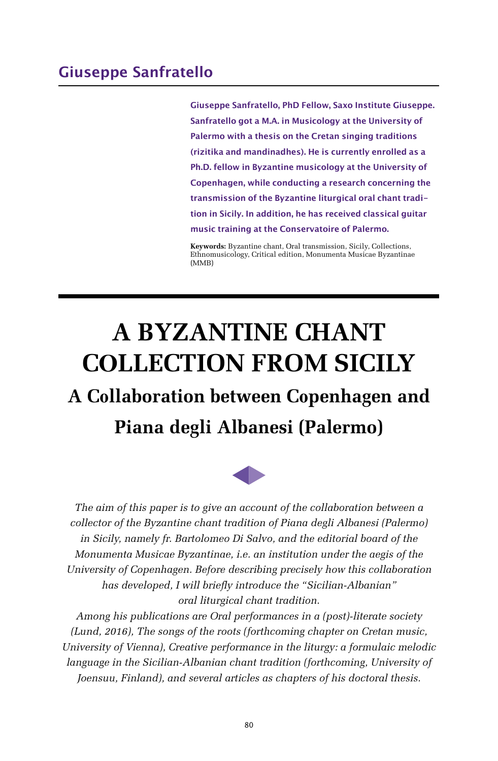**Giuseppe Sanfratello, PhD Fellow, Saxo Institute Giuseppe. Sanfratello got a M.A. in Musicology at the University of Palermo with a thesis on the Cretan singing traditions (rizitika and mandinadhes). He is currently enrolled as a Ph.D. fellow in Byzantine musicology at the University of Copenhagen, while conducting a research concerning the transmission of the Byzantine liturgical oral chant tradition in Sicily. In addition, he has received classical guitar music training at the Conservatoire of Palermo.**

**Keywords:** Byzantine chant, Oral transmission, Sicily, Collections, Ethnomusicology, Critical edition, Monumenta Musicae Byzantinae (MMB)

# **A BYZANTINE CHANT CΟLLECTION FROM SICILY**

# **A Cοllaboration between Cοpenhagen and Piana degli Albanesi (Palermo)**



*The aim of this paper is to give an account of the collaboration between a collector of the Byzantine chant tradition of Piana degli Albanesi (Palermo) in Sicily, namely fr. Bartolomeo Di Salvo, and the editorial board of the Monumenta Musicae Byzantinae, i.e. an institution under the aegis of the University of Copenhagen. Before describing precisely how this collaboration has developed, I will briefly introduce the "Sicilian-Albanian" oral liturgical chant tradition.*

*Among his publications are Oral performances in a (post)-literate society (Lund, 2016), The songs of the roots (forthcoming chapter on Cretan music, University of Vienna), Creative performance in the liturgy: a formulaic melodic language in the Sicilian-Albanian chant tradition (forthcoming, University of Joensuu, Finland), and several articles as chapters of his doctoral thesis.*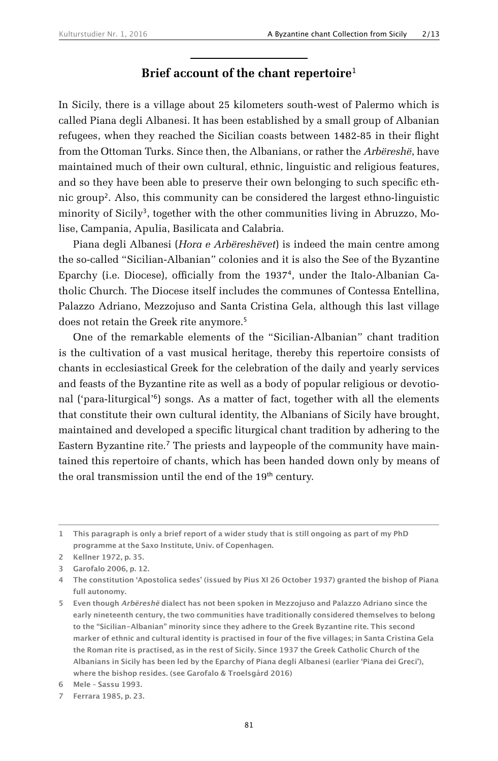#### **Brief account of the chant repertoire**<sup>1</sup>

In Sicily, there is a village about 25 kilometers south-west of Palermo which is called Piana degli Albanesi. It has been established by a small group of Albanian refugees, when they reached the Sicilian coasts between 1482-85 in their flight from the Ottoman Turks. Since then, the Albanians, or rather the *Arbëreshë*, have maintained much of their own cultural, ethnic, linguistic and religious features, and so they have been able to preserve their own belonging to such specific ethnic group2. Also, this community can be considered the largest ethno-linguistic minority of Sicily<sup>3</sup>, together with the other communities living in Abruzzo, Molise, Campania, Apulia, Basilicata and Calabria.

Piana degli Albanesi (*Hora e Arbëreshëvet*) is indeed the main centre among the so-called "Sicilian-Albanian" colonies and it is also the See of the Byzantine Eparchy (i.e. Diocese), officially from the 19374, under the Italo-Albanian Catholic Church. The Diocese itself includes the communes of Contessa Entellina, Palazzo Adriano, Mezzojuso and Santa Cristina Gela, although this last village does not retain the Greek rite anymore.<sup>5</sup>

One of the remarkable elements of the "Sicilian-Albanian" chant tradition is the cultivation of a vast musical heritage, thereby this repertoire consists of chants in ecclesiastical Greek for the celebration of the daily and yearly services and feasts of the Byzantine rite as well as a body of popular religious or devotional ('para-liturgical'6) songs. As a matter of fact, together with all the elements that constitute their own cultural identity, the Albanians of Sicily have brought, maintained and developed a specific liturgical chant tradition by adhering to the Eastern Byzantine rite.7 The priests and laypeople of the community have maintained this repertoire of chants, which has been handed down only by means of the oral transmission until the end of the 19<sup>th</sup> century.

**<sup>1</sup> This paragraph is only a brief report of a wider study that is still ongoing as part of my PhD programme at the Saxo Institute, Univ. of Copenhagen.**

**<sup>2</sup> Kellner 1972, p. 35.**

**<sup>3</sup> Garofalo 2006, p. 12.**

**<sup>4</sup> The constitution 'Apostolica sedes' (issued by Pius XI 26 October 1937) granted the bishop of Piana full autonomy.**

**<sup>5</sup> Even though Arbëreshë dialect has not been spoken in Mezzojuso and Palazzo Adriano since the early nineteenth century, the two communities have traditionally considered themselves to belong to the "Sicilian-Albanian" minority since they adhere to the Greek Byzantine rite. This second**  marker of ethnic and cultural identity is practised in four of the five villages; in Santa Cristina Gela **the Roman rite is practised, as in the rest of Sicily. Since 1937 the Greek Catholic Church of the Albanians in Sicily has been led by the Eparchy of Piana degli Albanesi (earlier 'Piana dei Greci'), where the bishop resides. (see Garofalo & Troelsgård 2016)**

**<sup>6</sup> Mele – Sassu 1993.**

**<sup>7</sup> Ferrara 1985, p. 23.**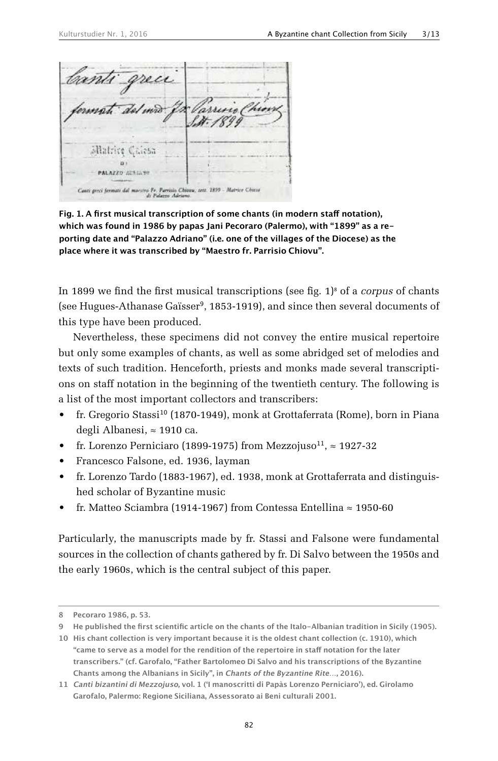allatrice Calesa Di t **PALAZZO AULIANI** Canti greci fermati dal marsiro Pr. Parrisio Chiova, sett. 1899 - Matrice Chiesa<br>ali Palazzo Adriano.

**Fig. 1. A first musical transcription of some chants (in modern staff notation), which was found in 1986 by papas Jani Pecoraro (Palermo), with "1899" as a reporting date and "Palazzo Adriano" (i.e. one of the villages of the Diocese) as the place where it was transcribed by "Maestro fr. Parrisio Chiovu".**

In 1899 we find the first musical transcriptions (see fig.  $1$ <sup>s</sup> of a *corpus* of chants (see Hugues-Athanase Gaïsser<sup>9</sup>, 1853-1919), and since then several documents of this type have been produced.

Nevertheless, these specimens did not convey the entire musical repertoire but only some examples of chants, as well as some abridged set of melodies and texts of such tradition. Henceforth, priests and monks made several transcriptions on staff notation in the beginning of the twentieth century. The following is a list of the most important collectors and transcribers:

- fr. Gregorio Stassi<sup>10</sup> (1870-1949), monk at Grottaferrata (Rome), born in Piana degli Albanesi, ≈ 1910 ca.
- fr. Lorenzo Perniciaro (1899-1975) from Mezzojuso<sup>11</sup>,  $\approx$  1927-32
- Francesco Falsone, ed. 1936, layman
- fr. Lorenzo Tardo (1883-1967), ed. 1938, monk at Grottaferrata and distinguished scholar of Byzantine music
- fr. Matteo Sciambra (1914-1967) from Contessa Entellina  $\approx$  1950-60

Particularly, the manuscripts made by fr. Stassi and Falsone were fundamental sources in the collection of chants gathered by fr. Di Salvo between the 1950s and the early 1960s, which is the central subject of this paper.

**<sup>8</sup> Pecoraro 1986, p. 53.**

**<sup>9</sup> He published the first scientific article on the chants of the Italo-Albanian tradition in Sicily (1905).**

**<sup>10</sup> His chant collection is very important because it is the oldest chant collection (c. 1910), which "came to serve as a model for the rendition of the repertoire in staff notation for the later transcribers." (cf. Garofalo, "Father Bartolomeo Di Salvo and his transcriptions of the Byzantine Chants among the Albanians in Sicily", in Chants of the Byzantine Rite…, 2016).**

**<sup>11</sup> Canti bizantini di Mezzojuso, vol. 1 ('I manoscritti di Papàs Lorenzo Perniciaro'), ed. Girolamo Garofalo, Palermo: Regione Siciliana, Assessorato ai Beni culturali 2001.**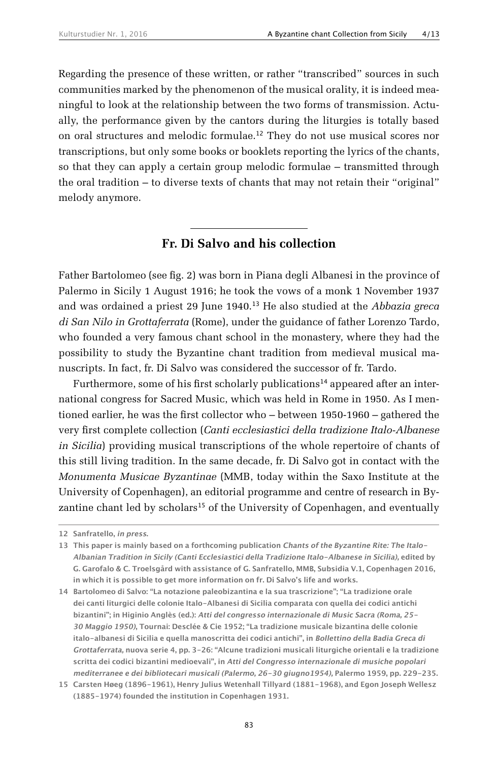Regarding the presence of these written, or rather "transcribed" sources in such communities marked by the phenomenon of the musical orality, it is indeed meaningful to look at the relationship between the two forms of transmission. Actually, the performance given by the cantors during the liturgies is totally based on oral structures and melodic formulae.12 They do not use musical scores nor transcriptions, but only some books or booklets reporting the lyrics of the chants, so that they can apply a certain group melodic formulae – transmitted through the oral tradition – to diverse texts of chants that may not retain their "original" melody anymore.

#### **Fr. Di Salvo and his collection**

Father Bartolomeo (see fig. 2) was born in Piana degli Albanesi in the province of Palermo in Sicily 1 August 1916; he took the vows of a monk 1 November 1937 and was ordained a priest 29 June 1940.13 He also studied at the *Abbazia greca di San Nilo in Grottaferrata* (Rome), under the guidance of father Lorenzo Tardo, who founded a very famous chant school in the monastery, where they had the possibility to study the Byzantine chant tradition from medieval musical manuscripts. In fact, fr. Di Salvo was considered the successor of fr. Tardo.

Furthermore, some of his first scholarly publications<sup>14</sup> appeared after an international congress for Sacred Music, which was held in Rome in 1950. As I mentioned earlier, he was the first collector who – between 1950-1960 – gathered the very first complete collection (*Canti ecclesiastici della tradizione Italo-Albanese in Sicilia*) providing musical transcriptions of the whole repertoire of chants of this still living tradition. In the same decade, fr. Di Salvo got in contact with the *Monumenta Musicae Byzantinae* (MMB, today within the Saxo Institute at the University of Copenhagen), an editorial programme and centre of research in Byzantine chant led by scholars<sup>15</sup> of the University of Copenhagen, and eventually

**<sup>12</sup> Sanfratello, in press.**

**<sup>13</sup> This paper is mainly based on a forthcoming publication Chants of the Byzantine Rite: The Italo-Albanian Tradition in Sicily (Canti Ecclesiastici della Tradizione Italo-Albanese in Sicilia), edited by G. Garofalo & C. Troelsgård with assistance of G. Sanfratello, MMB, Subsidia V.1, Copenhagen 2016, in which it is possible to get more information on fr. Di Salvo's life and works.**

**<sup>14</sup> Bartolomeo di Salvo: "La notazione paleobizantina e la sua trascrizione"; "La tradizione orale dei canti liturgici delle colonie Italo-Albanesi di Sicilia comparata con quella dei codici antichi bizantini"; in Higinio Anglès (ed.): Atti del congresso internazionale di Music Sacra (Roma, 25- 30 Maggio 1950), Tournai: Desclée & Cie 1952; "La tradizione musicale bizantina delle colonie italo-albanesi di Sicilia e quella manoscritta dei codici antichi", in Bollettino della Badia Greca di Grottaferrata, nuova serie 4, pp. 3-26: "Alcune tradizioni musicali liturgiche orientali e la tradizione scritta dei codici bizantini medioevali", in Atti del Congresso internazionale di musiche popolari mediterranee e dei bibliotecari musicali (Palermo, 26-30 giugno1954), Palermo 1959, pp. 229-235.**

**<sup>15</sup> Carsten Høeg (1896-1961), Henry Julius Wetenhall Tillyard (1881-1968), and Egon Joseph Wellesz (1885-1974) founded the institution in Copenhagen 1931.**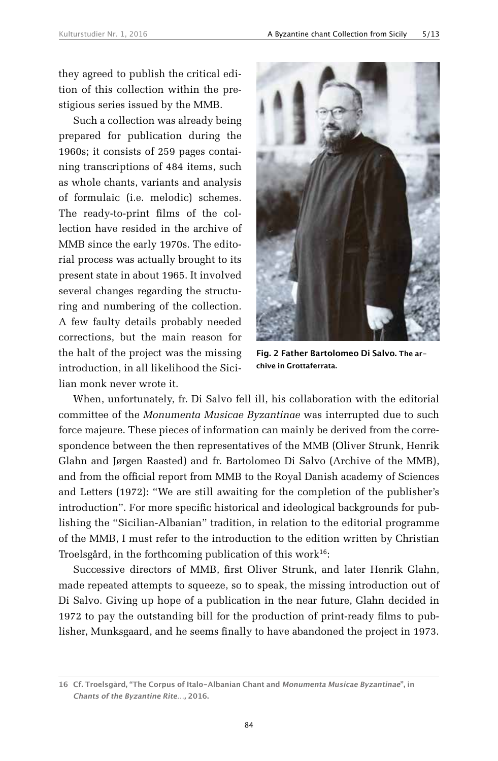they agreed to publish the critical edition of this collection within the prestigious series issued by the MMB.

Such a collection was already being prepared for publication during the 1960s; it consists of 259 pages containing transcriptions of 484 items, such as whole chants, variants and analysis of formulaic (i.e. melodic) schemes. The ready-to-print films of the collection have resided in the archive of MMB since the early 1970s. The editorial process was actually brought to its present state in about 1965. It involved several changes regarding the structuring and numbering of the collection. A few faulty details probably needed corrections, but the main reason for the halt of the project was the missing introduction, in all likelihood the Sicilian monk never wrote it.



**Fig. 2 Father Bartolomeo Di Salvo. The archive in Grottaferrata.**

When, unfortunately, fr. Di Salvo fell ill, his collaboration with the editorial committee of the *Monumenta Musicae Byzantinae* was interrupted due to such force majeure. These pieces of information can mainly be derived from the correspondence between the then representatives of the MMB (Oliver Strunk, Henrik Glahn and Jørgen Raasted) and fr. Bartolomeo Di Salvo (Archive of the MMB), and from the official report from MMB to the Royal Danish academy of Sciences and Letters (1972): "We are still awaiting for the completion of the publisher's introduction". For more specific historical and ideological backgrounds for publishing the "Sicilian-Albanian" tradition, in relation to the editorial programme of the MMB, I must refer to the introduction to the edition written by Christian Troelsgård, in the forthcoming publication of this work<sup>16</sup>:

Successive directors of MMB, first Oliver Strunk, and later Henrik Glahn, made repeated attempts to squeeze, so to speak, the missing introduction out of Di Salvo. Giving up hope of a publication in the near future, Glahn decided in 1972 to pay the outstanding bill for the production of print-ready films to publisher, Munksgaard, and he seems finally to have abandoned the project in 1973.

**<sup>16</sup> Cf. Troelsgård, "The Corpus of Italo-Albanian Chant and Monumenta Musicae Byzantinae", in Chants of the Byzantine Rite…, 2016.**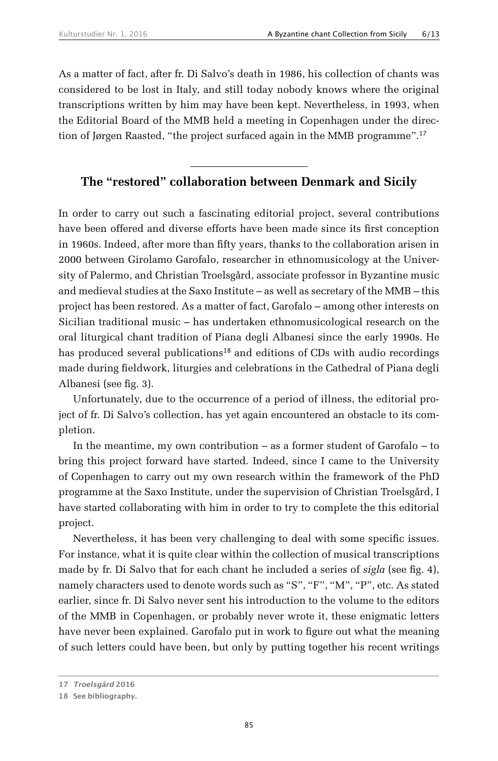As a matter of fact, after fr. Di Salvo's death in 1986, his collection of chants was considered to be lost in Italy, and still today nobody knows where the original transcriptions written by him may have been kept. Nevertheless, in 1993, when the Editorial Board of the MMB held a meeting in Copenhagen under the direction of Jørgen Raasted, "the project surfaced again in the MMB programme".<sup>17</sup>

#### **The "restored" collaboration between Denmark and Sicily**

In order to carry out such a fascinating editorial project, several contributions have been offered and diverse efforts have been made since its first conception in 1960s. Indeed, after more than fifty years, thanks to the collaboration arisen in 2000 between Girolamo Garofalo, researcher in ethnomusicology at the University of Palermo, and Christian Troelsgård, associate professor in Byzantine music and medieval studies at the Saxo Institute – as well as secretary of the MMB – this project has been restored. As a matter of fact, Garofalo – among other interests on Sicilian traditional music – has undertaken ethnomusicological research on the oral liturgical chant tradition of Piana degli Albanesi since the early 1990s. He has produced several publications<sup>18</sup> and editions of CDs with audio recordings made during fieldwork, liturgies and celebrations in the Cathedral of Piana degli Albanesi (see fig. 3).

Unfortunately, due to the occurrence of a period of illness, the editorial project of fr. Di Salvo's collection, has yet again encountered an obstacle to its completion.

In the meantime, my own contribution – as a former student of Garofalo – to bring this project forward have started. Indeed, since I came to the University of Copenhagen to carry out my own research within the framework of the PhD programme at the Saxo Institute, under the supervision of Christian Troelsgård, I have started collaborating with him in order to try to complete the this editorial project.

Nevertheless, it has been very challenging to deal with some specific issues. For instance, what it is quite clear within the collection of musical transcriptions made by fr. Di Salvo that for each chant he included a series of *sigla* (see fig. 4), namely characters used to denote words such as "S", "F", "M", "P", etc. As stated earlier, since fr. Di Salvo never sent his introduction to the volume to the editors of the MMB in Copenhagen, or probably never wrote it, these enigmatic letters have never been explained. Garofalo put in work to figure out what the meaning of such letters could have been, but only by putting together his recent writings

**<sup>17</sup> Troelsgård 2016**

**<sup>18</sup> See bibliography.**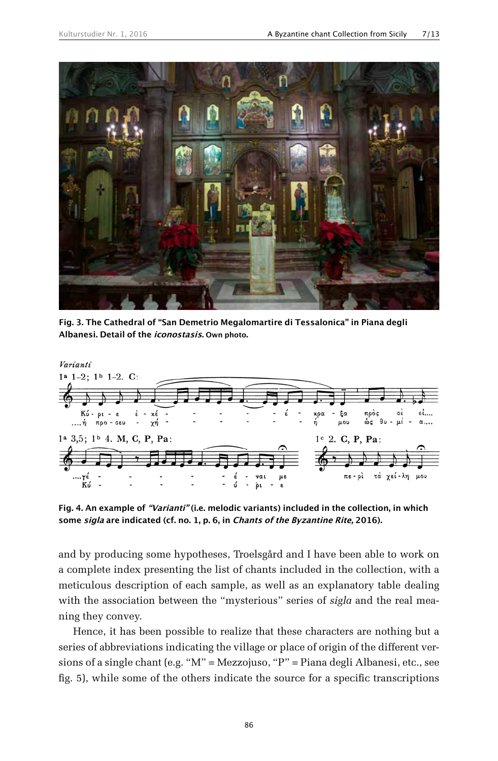

**Fig. 3. The Cathedral of "San Demetrio Megalomartire di Tessalonica" in Piana degli Albanesi. Detail of the iconostasis. Own photo.**



**Fig. 4. An example of "Varianti" (i.e. melodic variants) included in the collection, in which some sigla are indicated (cf. no. 1, p. 6, in Chants of the Byzantine Rite, 2016).**

and by producing some hypotheses, Troelsgård and I have been able to work on a complete index presenting the list of chants included in the collection, with a meticulous description of each sample, as well as an explanatory table dealing with the association between the "mysterious" series of *sigla* and the real meaning they convey.

Hence, it has been possible to realize that these characters are nothing but a series of abbreviations indicating the village or place of origin of the different versions of a single chant (e.g. "M" = Mezzojuso, "P" = Piana degli Albanesi, etc., see fig. 5), while some of the others indicate the source for a specific transcriptions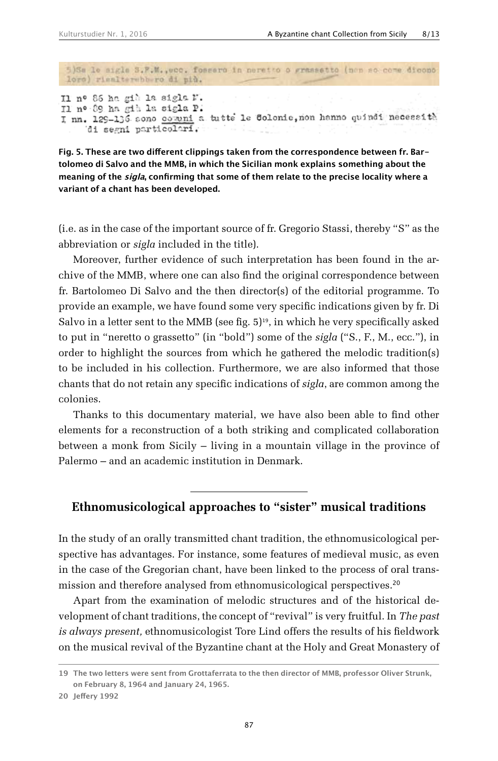5)Se le aigle 3.F.M., ecc. fossero in neretto o grassetto (non so come dicono loro) riealterabb ro di più.

Il nº 86 ha già la sigla N. II nº 89 ha già la sigla P. I nn. 129-136 sono comuni a tutte le Colonie, non hanno quindi necessità di segni particolari.

**Fig. 5. These are two different clippings taken from the correspondence between fr. Bartolomeo di Salvo and the MMB, in which the Sicilian monk explains something about the meaning of the sigla, confirming that some of them relate to the precise locality where a variant of a chant has been developed.**

(i.e. as in the case of the important source of fr. Gregorio Stassi, thereby "S" as the abbreviation or *sigla* included in the title).

Moreover, further evidence of such interpretation has been found in the archive of the MMB, where one can also find the original correspondence between fr. Bartolomeo Di Salvo and the then director(s) of the editorial programme. To provide an example, we have found some very specific indications given by fr. Di Salvo in a letter sent to the MMB (see fig.  $5)^{19}$ , in which he very specifically asked to put in "neretto o grassetto" (in "bold") some of the *sigla* ("S., F., M., ecc."), in order to highlight the sources from which he gathered the melodic tradition(s) to be included in his collection. Furthermore, we are also informed that those chants that do not retain any specific indications of *sigla*, are common among the colonies.

Thanks to this documentary material, we have also been able to find other elements for a reconstruction of a both striking and complicated collaboration between a monk from Sicily – living in a mountain village in the province of Palermo – and an academic institution in Denmark.

#### **Ethnomusicological approaches to "sister" musical traditions**

In the study of an orally transmitted chant tradition, the ethnomusicological perspective has advantages. For instance, some features of medieval music, as even in the case of the Gregorian chant, have been linked to the process of oral transmission and therefore analysed from ethnomusicological perspectives.<sup>20</sup>

Apart from the examination of melodic structures and of the historical development of chant traditions, the concept of "revival" is very fruitful. In *The past is always present,* ethnomusicologist Tore Lind offers the results of his fieldwork on the musical revival of the Byzantine chant at the Holy and Great Monastery of

**<sup>19</sup> The two letters were sent from Grottaferrata to the then director of MMB, professor Oliver Strunk, on February 8, 1964 and January 24, 1965.**

**<sup>20</sup> Jeffery 1992**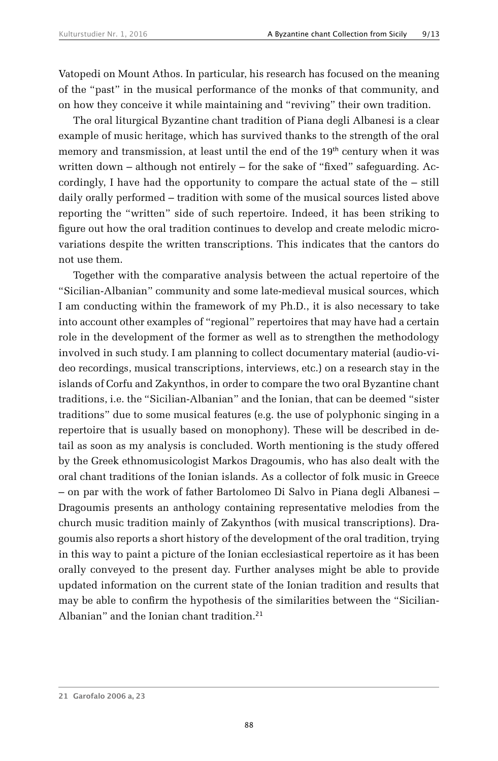Vatopedi on Mount Athos. In particular, his research has focused on the meaning of the "past" in the musical performance of the monks of that community, and on how they conceive it while maintaining and "reviving" their own tradition.

The oral liturgical Byzantine chant tradition of Piana degli Albanesi is a clear example of music heritage, which has survived thanks to the strength of the oral memory and transmission, at least until the end of the 19<sup>th</sup> century when it was written down – although not entirely – for the sake of "fixed" safeguarding. Accordingly, I have had the opportunity to compare the actual state of the – still daily orally performed – tradition with some of the musical sources listed above reporting the "written" side of such repertoire. Indeed, it has been striking to figure out how the oral tradition continues to develop and create melodic microvariations despite the written transcriptions. This indicates that the cantors do not use them.

Together with the comparative analysis between the actual repertoire of the "Sicilian-Albanian" community and some late-medieval musical sources, which I am conducting within the framework of my Ph.D., it is also necessary to take into account other examples of "regional" repertoires that may have had a certain role in the development of the former as well as to strengthen the methodology involved in such study. I am planning to collect documentary material (audio-video recordings, musical transcriptions, interviews, etc.) on a research stay in the islands of Corfu and Zakynthos, in order to compare the two oral Byzantine chant traditions, i.e. the "Sicilian-Albanian" and the Ionian, that can be deemed "sister traditions" due to some musical features (e.g. the use of polyphonic singing in a repertoire that is usually based on monophony). These will be described in detail as soon as my analysis is concluded. Worth mentioning is the study offered by the Greek ethnomusicologist Markos Dragoumis, who has also dealt with the oral chant traditions of the Ionian islands. As a collector of folk music in Greece – on par with the work of father Bartolomeo Di Salvo in Piana degli Albanesi – Dragoumis presents an anthology containing representative melodies from the church music tradition mainly of Zakynthos (with musical transcriptions). Dragoumis also reports a short history of the development of the oral tradition, trying in this way to paint a picture of the Ionian ecclesiastical repertoire as it has been orally conveyed to the present day. Further analyses might be able to provide updated information on the current state of the Ionian tradition and results that may be able to confirm the hypothesis of the similarities between the "Sicilian-Albanian" and the Ionian chant tradition.<sup>21</sup>

**<sup>21</sup> Garofalo 2006 a, 23**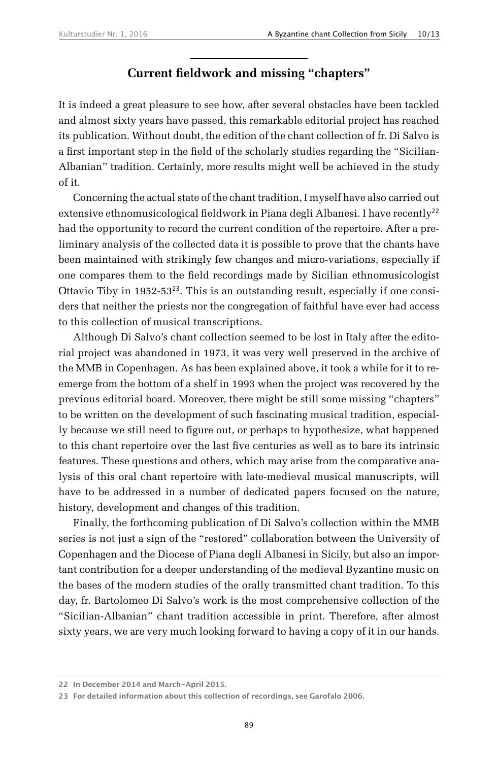# **Current fieldwork and missing "chapters"**

It is indeed a great pleasure to see how, after several obstacles have been tackled and almost sixty years have passed, this remarkable editorial project has reached its publication. Without doubt, the edition of the chant collection of fr. Di Salvo is a first important step in the field of the scholarly studies regarding the "Sicilian-Albanian" tradition. Certainly, more results might well be achieved in the study of it.

Concerning the actual state of the chant tradition, I myself have also carried out extensive ethnomusicological fieldwork in Piana degli Albanesi. I have recently<sup>22</sup> had the opportunity to record the current condition of the repertoire. After a preliminary analysis of the collected data it is possible to prove that the chants have been maintained with strikingly few changes and micro-variations, especially if one compares them to the field recordings made by Sicilian ethnomusicologist Ottavio Tiby in  $1952-53^{23}$ . This is an outstanding result, especially if one considers that neither the priests nor the congregation of faithful have ever had access to this collection of musical transcriptions.

Although Di Salvo's chant collection seemed to be lost in Italy after the editorial project was abandoned in 1973, it was very well preserved in the archive of the MMB in Copenhagen. As has been explained above, it took a while for it to reemerge from the bottom of a shelf in 1993 when the project was recovered by the previous editorial board. Moreover, there might be still some missing "chapters" to be written on the development of such fascinating musical tradition, especially because we still need to figure out, or perhaps to hypothesize, what happened to this chant repertoire over the last five centuries as well as to bare its intrinsic features. These questions and others, which may arise from the comparative analysis of this oral chant repertoire with late-medieval musical manuscripts, will have to be addressed in a number of dedicated papers focused on the nature, history, development and changes of this tradition.

Finally, the forthcoming publication of Di Salvo's collection within the MMB series is not just a sign of the "restored" collaboration between the University of Copenhagen and the Diocese of Piana degli Albanesi in Sicily, but also an important contribution for a deeper understanding of the medieval Byzantine music on the bases of the modern studies of the orally transmitted chant tradition. To this day, fr. Bartolomeo Di Salvo's work is the most comprehensive collection of the "Sicilian-Albanian" chant tradition accessible in print. Therefore, after almost sixty years, we are very much looking forward to having a copy of it in our hands.

**<sup>22</sup> In December 2014 and March-April 2015.**

**<sup>23</sup> For detailed information about this collection of recordings, see Garofalo 2006.**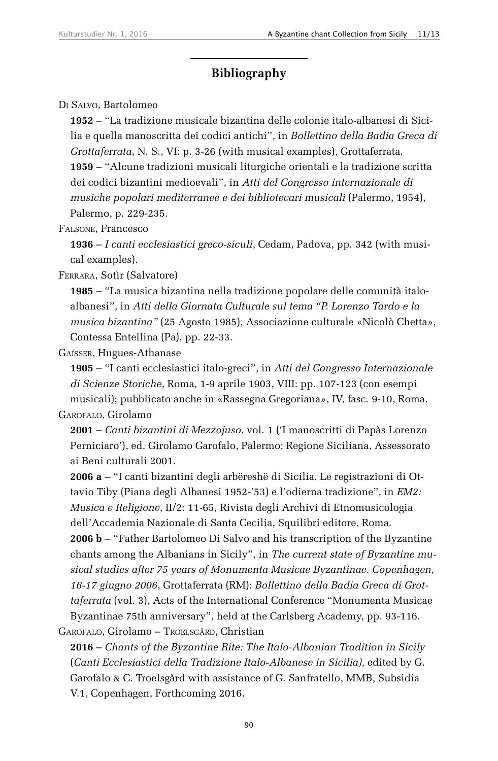## **Bibliography**

Di Salvo, Bartolomeo

**1952** – "La tradizione musicale bizantina delle colonie italo-albanesi di Sicilia e quella manoscritta dei codici antichi", in *Bollettino della Badia Greca di Grottaferrata*, N. S., VI: p. 3-26 (with musical examples), Grottaferrata. **1959** – "Alcune tradizioni musicali liturgiche orientali e la tradizione scritta dei codici bizantini medioevali", in *Atti del Congresso internazionale di musiche popolari mediterranee e dei bibliotecari musicali* (Palermo, 1954), Palermo, p. 229-235.

Falsone, Francesco

**1936** – *I canti ecclesiastici greco-siculi*, Cedam, Padova, pp. 342 (with musical examples).

Ferrara, Sotìr (Salvatore)

**1985** – "La musica bizantina nella tradizione popolare delle comunità italoalbanesi", in *Atti della Giornata Culturale sul tema "P. Lorenzo Tardo e la musica bizantina"* (25 Agosto 1985), Associazione culturale «Nicolò Chetta», Contessa Entellina (Pa), pp. 22-33.

Gaïsser, Hugues-Athanase

**1905** – "I canti ecclesiastici italo-greci", in *Atti del Congresso Internazionale di Scienze Storiche*, Roma, 1-9 aprile 1903, VIII: pp. 107-123 (con esempi musicali); pubblicato anche in «Rassegna Gregoriana», IV, fasc. 9-10, Roma.

Garofalo, Girolamo

**2001** – *Canti bizantini di Mezzojuso*, vol. 1 ('I manoscritti di Papàs Lorenzo Perniciaro'), ed. Girolamo Garofalo, Palermo: Regione Siciliana, Assessorato ai Beni culturali 2001.

**2006 a** – "I canti bizantini degli arbëreshë di Sicilia. Le registrazioni di Ottavio Tiby (Piana degli Albanesi 1952-'53) e l'odierna tradizione"*,* in *EM2: Musica e Religione*, II/2: 11-65, Rivista degli Archivi di Etnomusicologia dell'Accademia Nazionale di Santa Cecilia, Squilibri editore, Roma.

**2006 b** – "Father Bartolomeo Di Salvo and his transcription of the Byzantine chants among the Albanians in Sicily", in *The current state of Byzantine musical studies after 75 years of Monumenta Musicae Byzantinae. Copenhagen, 16-17 giugno 2006*, Grottaferrata (RM): *Bollettino della Badia Greca di Grottaferrata* (vol. 3), Acts of the International Conference "Monumenta Musicae Byzantinae 75th anniversary", held at the Carlsberg Academy, pp. 93-116. Garofalo, Girolamo – Troelsgård, Christian

**2016** – *Chants of the Byzantine Rite: The Italo-Albanian Tradition in Sicily* (*Canti Ecclesiastici della Tradizione Italo-Albanese in Sicilia),* edited by G. Garofalo & C. Troelsgård with assistance of G. Sanfratello, MMB, Subsidia V.1, Copenhagen, Forthcoming 2016.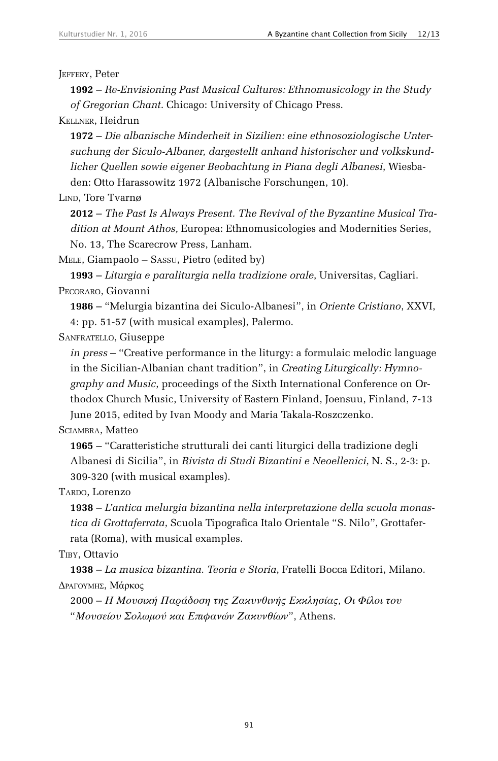JEFFERY, Peter

**1992** – *Re-Envisioning Past Musical Cultures: Ethnomusicology in the Study of Gregorian Chant*. Chicago: University of Chicago Press.

Kellner, Heidrun

**1972** – *Die albanische Minderheit in Sizilien: eine ethnosoziologische Untersuchung der Siculo-Albaner, dargestellt anhand historischer und volkskundlicher Quellen sowie eigener Beobachtung in Piana degli Albanesi*, Wiesbaden: Otto Harassowitz 1972 (Albanische Forschungen, 10).

LIND, Tore Tvarnø

**2012** – *The Past Is Always Present. The Revival of the Byzantine Musical Tradition at Mount Athos,* Europea: Ethnomusicologies and Modernities Series, No. 13, The Scarecrow Press, Lanham.

MELE, Giampaolo – SASSU, Pietro (edited by)

**1993** – *Liturgia e paraliturgia nella tradizione orale*, Universitas, Cagliari. Pecoraro, Giovanni

**1986** – "Melurgia bizantina dei Siculo-Albanesi", in *Oriente Cristiano*, XXVI, 4: pp. 51-57 (with musical examples), Palermo.

Sanfratello, Giuseppe

*in press* – "Creative performance in the liturgy: a formulaic melodic language in the Sicilian-Albanian chant tradition", in *Creating Liturgically: Hymnography and Music*, proceedings of the Sixth International Conference on Orthodox Church Music, University of Eastern Finland, Joensuu, Finland, 7-13 June 2015, edited by Ivan Moody and Maria Takala-Roszczenko.

SCIAMBRA, Matteo

**1965** – "Caratteristiche strutturali dei canti liturgici della tradizione degli Albanesi di Sicilia", in *Rivista di Studi Bizantini e Neoellenici*, N. S., 2-3: p. 309-320 (with musical examples).

TARDO, Lorenzo

**1938** – *L'antica melurgia bizantina nella interpretazione della scuola monastica di Grottaferrata*, Scuola Tipografica Italo Orientale "S. Nilo", Grottaferrata (Roma), with musical examples.

Tiby, Ottavio

**1938** – *La musica bizantina. Teoria e Storia*, Fratelli Bocca Editori, Milano. ΔρατογΜΗΣ, Μάρκος

2000 – *Η Μουσική Παράδοση της Ζακυνθινής Εκκλησίας, Οι Φίλοι του* "*Μουσείου Σολωμού και Επιφανών Ζακυνθίων*", Athens.